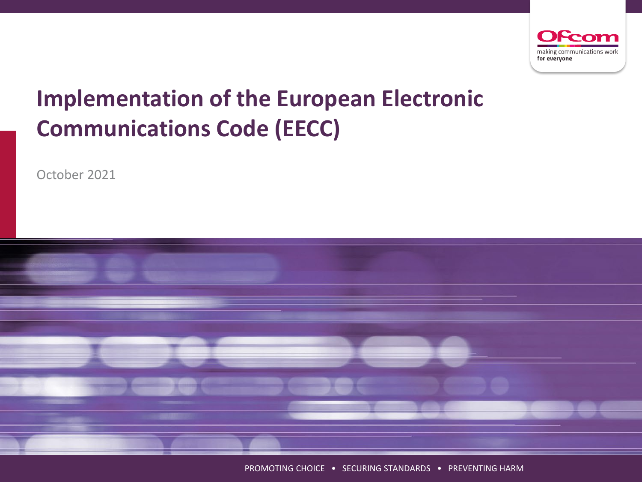

# **Implementation of the European Electronic Communications Code (EECC)**

October 2021



PROMOTING CHOICE • SECURING STANDARDS • PREVENTING HARM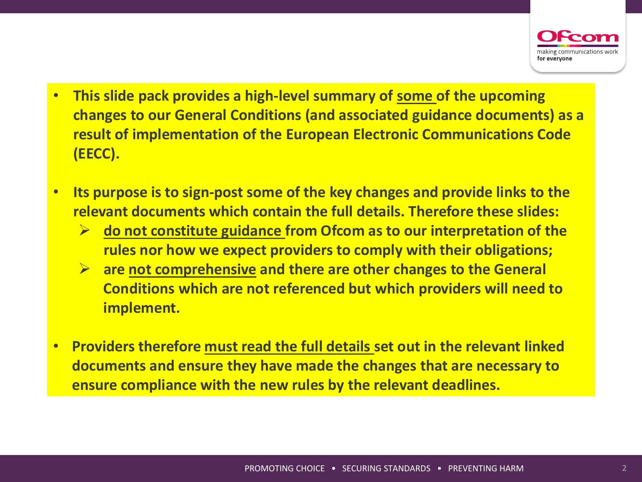

- **This slide pack provides a high-level summary of some of the upcoming changes to our General Conditions (and associated guidance documents) as a result of implementation of the European Electronic Communications Code (EECC).**
- **Its purpose is to sign-post some of the key changes and provide links to the relevant documents which contain the full details. Therefore these slides:**
	- **do not constitute guidance from Ofcom as to our interpretation of the rules nor how we expect providers to comply with their obligations;**
	- **are not comprehensive and there are other changes to the General Conditions which are not referenced but which providers will need to implement.**
- **Providers therefore must read the full details set out in the relevant linked documents and ensure they have made the changes that are necessary to ensure compliance with the new rules by the relevant deadlines.**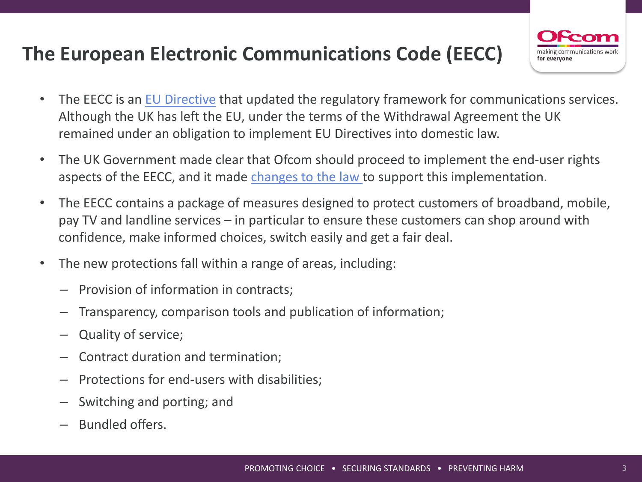# **The European Electronic Communications Code (EECC)**



- The EECC is an [EU Directive](https://eur-lex.europa.eu/legal-content/EN/TXT/PDF/?uri=OJ:L:2018:321:FULL&from=EN) that updated the regulatory framework for communications services. Although the UK has left the EU, under the terms of the Withdrawal Agreement the UK remained under an obligation to implement EU Directives into domestic law.
- The UK Government made clear that Ofcom should proceed to implement the end-user rights aspects of the EECC, and it made changes [to the law t](https://www.legislation.gov.uk/uksi/2020/1419/contents/made)o support this implementation.
- The EECC contains a package of measures designed to protect customers of broadband, mobile, pay TV and landline services – in particular to ensure these customers can shop around with confidence, make informed choices, switch easily and get a fair deal.
- The new protections fall within a range of areas, including:
	- Provision of information in contracts;
	- Transparency, comparison tools and publication of information;
	- Quality of service;
	- Contract duration and termination;
	- Protections for end-users with disabilities;
	- Switching and porting; and
	- Bundled offers.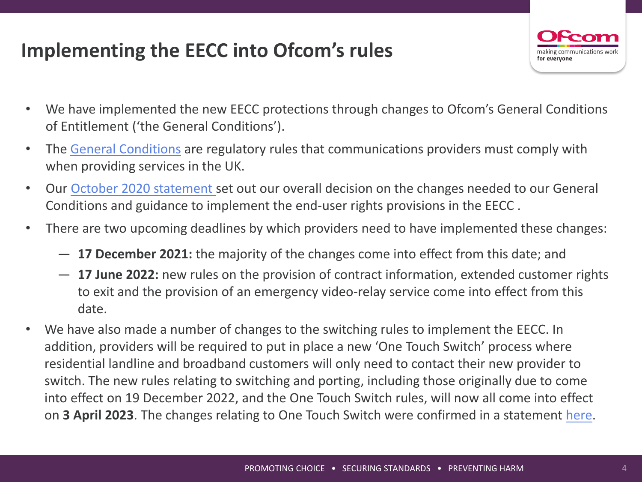# **Implementing the EECC into Ofcom's rules**



- We have implemented the new EECC protections through changes to Ofcom's General Conditions of Entitlement ('the General Conditions').
- The [General Conditions](https://www.ofcom.org.uk/phones-telecoms-and-internet/information-for-industry/telecoms-competition-regulation/general-conditions-of-entitlement) are regulatory rules that communications providers must comply with when providing services in the UK.
- Our [October 2020 statement](https://www.ofcom.org.uk/__data/assets/pdf_file/0023/204980/statement-eecc-revised-proposals.pdf) set out our overall decision on the changes needed to our General Conditions and guidance to implement the end-user rights provisions in the EECC .
- There are two upcoming deadlines by which providers need to have implemented these changes:
	- ― **17 December 2021:** the majority of the changes come into effect from this date; and
	- ― **17 June 2022:** new rules on the provision of contract information, extended customer rights to exit and the provision of an emergency video-relay service come into effect from this date.
- We have also made a number of changes to the switching rules to implement the EECC. In addition, providers will be required to put in place a new 'One Touch Switch' process where residential landline and broadband customers will only need to contact their new provider to switch. The new rules relating to switching and porting, including those originally due to come into effect on 19 December 2022, and the One Touch Switch rules, will now all come into effect on **3 April 2023**. The changes relating to One Touch Switch were confirmed in a statement [here](https://www.ofcom.org.uk/consultations-and-statements/category-2/simpler-broadband-switching).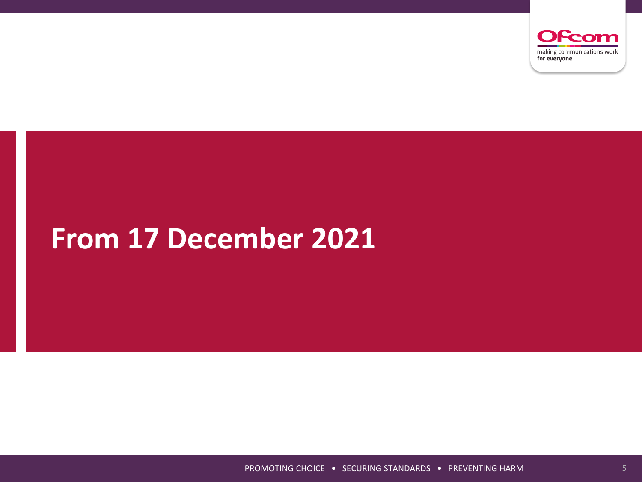

# **From 17 December 2021**

PROMOTING CHOICE • SECURING STANDARDS • PREVENTING HARM 5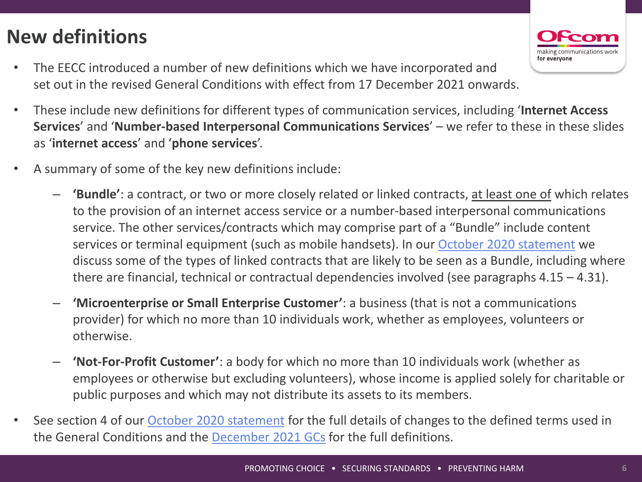# **New definitions**

• The EECC introduced a number of new definitions which we have incorporated and set out in the revised General Conditions with effect from 17 December 2021 onwards.



- These include new definitions for different types of communication services, including '**Internet Access Services**' and '**Number-based Interpersonal Communications Services**' – we refer to these in these slides as '**internet access**' and '**phone services**'.
- A summary of some of the key new definitions include:
	- **'Bundle'**: a contract, or two or more closely related or linked contracts, at least one of which relates to the provision of an internet access service or a number-based interpersonal communications service. The other services/contracts which may comprise part of a "Bundle" include content services or terminal equipment (such as mobile handsets). In our [October 2020 statement](https://www.ofcom.org.uk/__data/assets/pdf_file/0023/204980/statement-eecc-revised-proposals.pdf) we discuss some of the types of linked contracts that are likely to be seen as a Bundle, including where there are financial, technical or contractual dependencies involved (see paragraphs 4.15 – 4.31).
	- **'Microenterprise or Small Enterprise Customer'**: a business (that is not a communications provider) for which no more than 10 individuals work, whether as employees, volunteers or otherwise.
	- **'Not-For-Profit Customer'**: a body for which no more than 10 individuals work (whether as employees or otherwise but excluding volunteers), whose income is applied solely for charitable or public purposes and which may not distribute its assets to its members.
- See section 4 of our [October 2020 statement](https://www.ofcom.org.uk/__data/assets/pdf_file/0023/204980/statement-eecc-revised-proposals.pdf) for the full details of changes to the defined terms used in the General Conditions and the [December 2021 GCs](https://www.ofcom.org.uk/__data/assets/pdf_file/0016/209500/annex-3-revised-gc-eecc-17-dec-21.pdf) for the full definitions.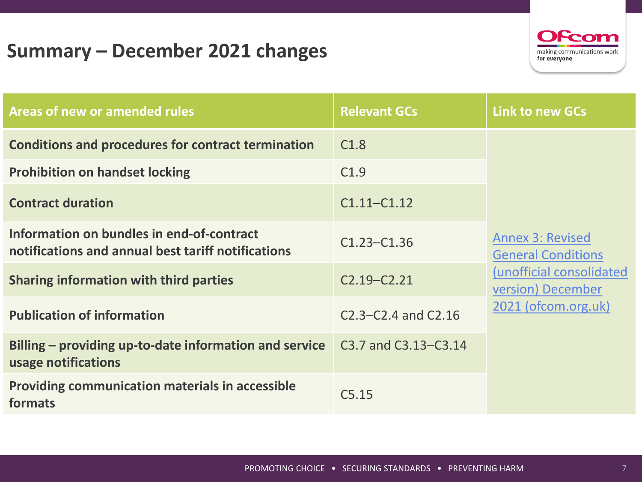## **Summary – December 2021 changes**



| Areas of new or amended rules                                                                   | <b>Relevant GCs</b>       | <b>Link to new GCs</b>                               |
|-------------------------------------------------------------------------------------------------|---------------------------|------------------------------------------------------|
| <b>Conditions and procedures for contract termination</b>                                       | C1.8                      |                                                      |
| <b>Prohibition on handset locking</b>                                                           | C1.9                      |                                                      |
| <b>Contract duration</b>                                                                        | $C1.11 - C1.12$           |                                                      |
| Information on bundles in end-of-contract<br>notifications and annual best tariff notifications | $C1.23 - C1.36$           | <b>Annex 3: Revised</b><br><b>General Conditions</b> |
| <b>Sharing information with third parties</b>                                                   | $C2.19 - C2.21$           | (unofficial consolidated<br>version) December        |
| <b>Publication of information</b>                                                               | $C2.3 - C2.4$ and $C2.16$ | 2021 (ofcom.org.uk)                                  |
| Billing – providing up-to-date information and service<br>usage notifications                   | C3.7 and C3.13–C3.14      |                                                      |
| <b>Providing communication materials in accessible</b><br>formats                               | C5.15                     |                                                      |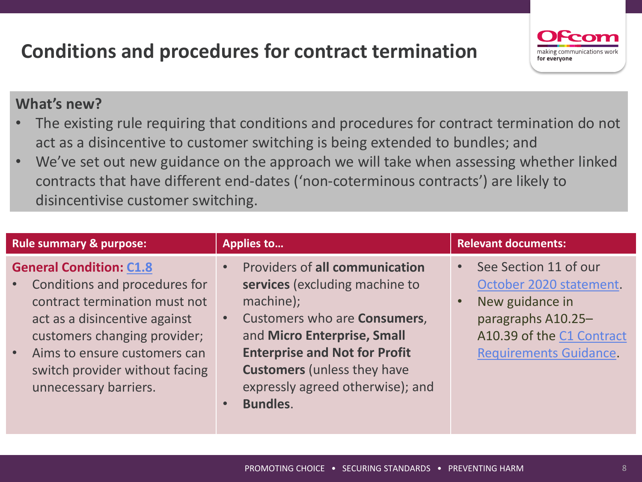# **Conditions and procedures for contract termination**



- The existing rule requiring that conditions and procedures for contract termination do not act as a disincentive to customer switching is being extended to bundles; and
- We've set out new guidance on the approach we will take when assessing whether linked contracts that have different end-dates ('non-coterminous contracts') are likely to disincentivise customer switching.

| <b>Rule summary &amp; purpose:</b>                                                                                                                                                                                                                                                       | <b>Applies to</b>                                                                                                                                                                                                                                                                 | <b>Relevant documents:</b>                                                                                                                              |
|------------------------------------------------------------------------------------------------------------------------------------------------------------------------------------------------------------------------------------------------------------------------------------------|-----------------------------------------------------------------------------------------------------------------------------------------------------------------------------------------------------------------------------------------------------------------------------------|---------------------------------------------------------------------------------------------------------------------------------------------------------|
| <b>General Condition: C1.8</b><br>Conditions and procedures for<br>$\bullet$ .<br>contract termination must not<br>act as a disincentive against<br>customers changing provider;<br>Aims to ensure customers can<br>$\bullet$<br>switch provider without facing<br>unnecessary barriers. | Providers of all communication<br>services (excluding machine to<br>machine);<br>Customers who are Consumers,<br>and Micro Enterprise, Small<br><b>Enterprise and Not for Profit</b><br><b>Customers</b> (unless they have<br>expressly agreed otherwise); and<br><b>Bundles.</b> | See Section 11 of our<br>October 2020 statement.<br>New guidance in<br>paragraphs A10.25-<br>A10.39 of the C1 Contract<br><b>Requirements Guidance.</b> |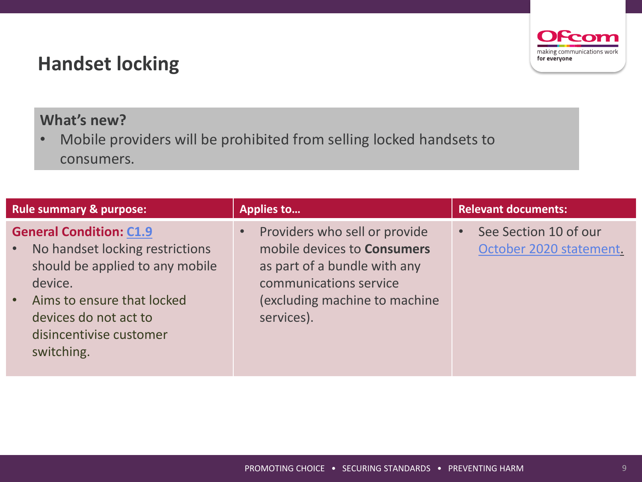### **Handset locking**



• Mobile providers will be prohibited from selling locked handsets to consumers.

| <b>Rule summary &amp; purpose:</b>                                                                                                                                                                                                        | <b>Applies to</b>                                                                                                                                                            | <b>Relevant documents:</b>                       |
|-------------------------------------------------------------------------------------------------------------------------------------------------------------------------------------------------------------------------------------------|------------------------------------------------------------------------------------------------------------------------------------------------------------------------------|--------------------------------------------------|
| <b>General Condition: C1.9</b><br>No handset locking restrictions<br>$\bullet$<br>should be applied to any mobile<br>device.<br>Aims to ensure that locked<br>$\bullet$<br>devices do not act to<br>disincentivise customer<br>switching. | Providers who sell or provide<br>mobile devices to <b>Consumers</b><br>as part of a bundle with any<br>communications service<br>(excluding machine to machine<br>services). | See Section 10 of our<br>October 2020 statement. |

Feo making communications work

for everyone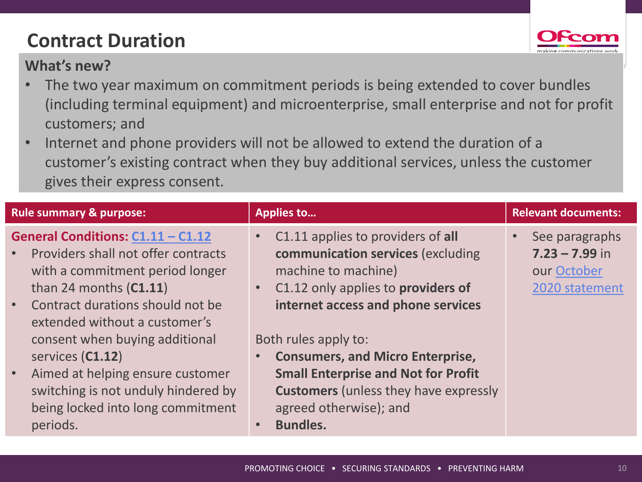# **Contract Duration**



- The two year maximum on commitment periods is being extended to cover bundles (including terminal equipment) and microenterprise, small enterprise and not for profit customers; and
- Internet and phone providers will not be allowed to extend the duration of a customer's existing contract when they buy additional services, unless the customer gives their express consent.

| <b>Rule summary &amp; purpose:</b>                                                                                                                                                                                                                                                                                                                                                                                                    | <b>Applies to</b>                                                                                                                                                                                                                                                                                                                                                                                                 | <b>Relevant documents:</b>                                          |
|---------------------------------------------------------------------------------------------------------------------------------------------------------------------------------------------------------------------------------------------------------------------------------------------------------------------------------------------------------------------------------------------------------------------------------------|-------------------------------------------------------------------------------------------------------------------------------------------------------------------------------------------------------------------------------------------------------------------------------------------------------------------------------------------------------------------------------------------------------------------|---------------------------------------------------------------------|
| General Conditions: C1.11 - C1.12<br>Providers shall not offer contracts<br>$\bullet$<br>with a commitment period longer<br>than 24 months $(C1.11)$<br>Contract durations should not be<br>$\bullet$<br>extended without a customer's<br>consent when buying additional<br>services (C1.12)<br>Aimed at helping ensure customer<br>$\bullet$<br>switching is not unduly hindered by<br>being locked into long commitment<br>periods. | C1.11 applies to providers of all<br>communication services (excluding<br>machine to machine)<br>C1.12 only applies to providers of<br>$\bullet$<br>internet access and phone services<br>Both rules apply to:<br><b>Consumers, and Micro Enterprise,</b><br><b>Small Enterprise and Not for Profit</b><br><b>Customers</b> (unless they have expressly<br>agreed otherwise); and<br><b>Bundles.</b><br>$\bullet$ | See paragraphs<br>$7.23 - 7.99$ in<br>our October<br>2020 statement |
|                                                                                                                                                                                                                                                                                                                                                                                                                                       |                                                                                                                                                                                                                                                                                                                                                                                                                   |                                                                     |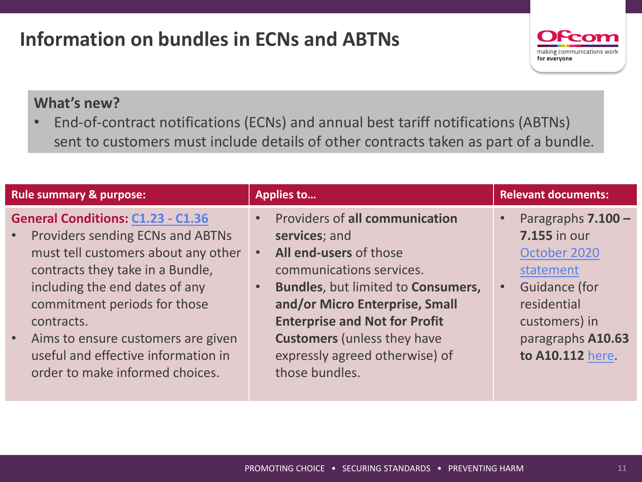# **Information on bundles in ECNs and ABTNs**



#### **What's new?**

• End-of-contract notifications (ECNs) and annual best tariff notifications (ABTNs) sent to customers must include details of other contracts taken as part of a bundle.

| <b>Rule summary &amp; purpose:</b>                                                                                                                                                                                                                                                                                                                                                  | <b>Applies to</b>                                                                                                                                                                                                                                                                                               | <b>Relevant documents:</b>                                                                                                                                              |
|-------------------------------------------------------------------------------------------------------------------------------------------------------------------------------------------------------------------------------------------------------------------------------------------------------------------------------------------------------------------------------------|-----------------------------------------------------------------------------------------------------------------------------------------------------------------------------------------------------------------------------------------------------------------------------------------------------------------|-------------------------------------------------------------------------------------------------------------------------------------------------------------------------|
| <b>General Conditions: C1.23 - C1.36</b><br>Providers sending ECNs and ABTNs<br>$\bullet$ .<br>must tell customers about any other<br>contracts they take in a Bundle,<br>including the end dates of any<br>commitment periods for those<br>contracts.<br>Aims to ensure customers are given<br>$\bullet$<br>useful and effective information in<br>order to make informed choices. | Providers of all communication<br>services; and<br>All end-users of those<br>communications services.<br>Bundles, but limited to Consumers,<br>and/or Micro Enterprise, Small<br><b>Enterprise and Not for Profit</b><br><b>Customers</b> (unless they have<br>expressly agreed otherwise) of<br>those bundles. | Paragraphs 7.100 -<br><b>7.155 in our</b><br>October 2020<br>statement<br><b>Guidance (for</b><br>residential<br>customers) in<br>paragraphs A10.63<br>to A10.112 here. |
|                                                                                                                                                                                                                                                                                                                                                                                     |                                                                                                                                                                                                                                                                                                                 |                                                                                                                                                                         |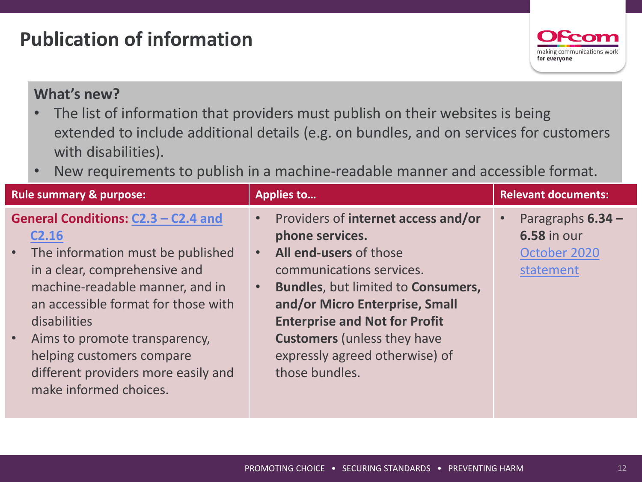## **Publication of information**



- The list of information that providers must publish on their websites is being extended to include additional details (e.g. on bundles, and on services for customers with disabilities).
- New requirements to publish in a machine-readable manner and accessible format.

| <b>Rule summary &amp; purpose:</b>                                                                                                                                                                                                                                                                                                                                                  | <b>Applies to</b>                                                                                                                                                                                                                                                                                                                                | <b>Relevant documents:</b>                                             |
|-------------------------------------------------------------------------------------------------------------------------------------------------------------------------------------------------------------------------------------------------------------------------------------------------------------------------------------------------------------------------------------|--------------------------------------------------------------------------------------------------------------------------------------------------------------------------------------------------------------------------------------------------------------------------------------------------------------------------------------------------|------------------------------------------------------------------------|
| General Conditions: C2.3 - C2.4 and<br>C <sub>2.16</sub><br>The information must be published<br>$\bullet$ .<br>in a clear, comprehensive and<br>machine-readable manner, and in<br>an accessible format for those with<br>disabilities<br>Aims to promote transparency,<br>$\bullet$<br>helping customers compare<br>different providers more easily and<br>make informed choices. | Providers of internet access and/or<br>phone services.<br>All end-users of those<br>$\bullet$<br>communications services.<br>Bundles, but limited to Consumers,<br>$\bullet$<br>and/or Micro Enterprise, Small<br><b>Enterprise and Not for Profit</b><br><b>Customers</b> (unless they have<br>expressly agreed otherwise) of<br>those bundles. | Paragraphs $6.34 -$<br><b>6.58 in our</b><br>October 2020<br>statement |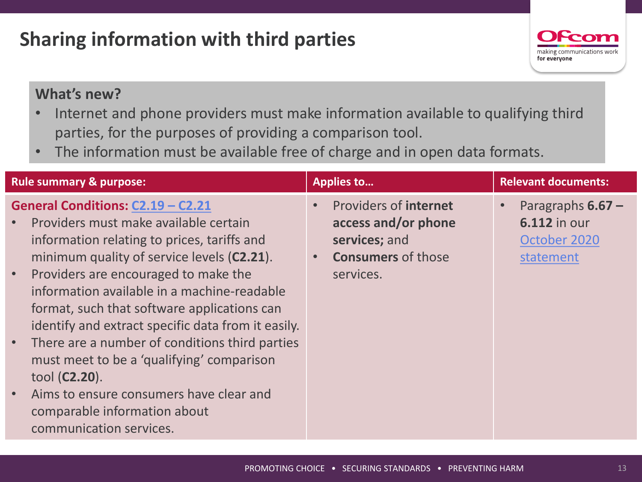# **Sharing information with third parties**



- Internet and phone providers must make information available to qualifying third parties, for the purposes of providing a comparison tool.
- The information must be available free of charge and in open data formats.

| <b>Rule summary &amp; purpose:</b>                                                                                                                                                                                                                                                                                                                                                                                                                                                                                                                                                                                             | <b>Applies to</b>                                                                                              | <b>Relevant documents:</b>                                                           |
|--------------------------------------------------------------------------------------------------------------------------------------------------------------------------------------------------------------------------------------------------------------------------------------------------------------------------------------------------------------------------------------------------------------------------------------------------------------------------------------------------------------------------------------------------------------------------------------------------------------------------------|----------------------------------------------------------------------------------------------------------------|--------------------------------------------------------------------------------------|
| General Conditions: C2.19 - C2.21<br>Providers must make available certain<br>information relating to prices, tariffs and<br>minimum quality of service levels (C2.21).<br>Providers are encouraged to make the<br>$\bullet$<br>information available in a machine-readable<br>format, such that software applications can<br>identify and extract specific data from it easily.<br>There are a number of conditions third parties<br>$\bullet$ .<br>must meet to be a 'qualifying' comparison<br>tool ( <b>C2.20</b> ).<br>Aims to ensure consumers have clear and<br>comparable information about<br>communication services. | <b>Providers of internet</b><br>access and/or phone<br>services; and<br><b>Consumers of those</b><br>services. | Paragraphs $6.67 -$<br>$\bullet$<br><b>6.112 in our</b><br>October 2020<br>statement |
|                                                                                                                                                                                                                                                                                                                                                                                                                                                                                                                                                                                                                                |                                                                                                                |                                                                                      |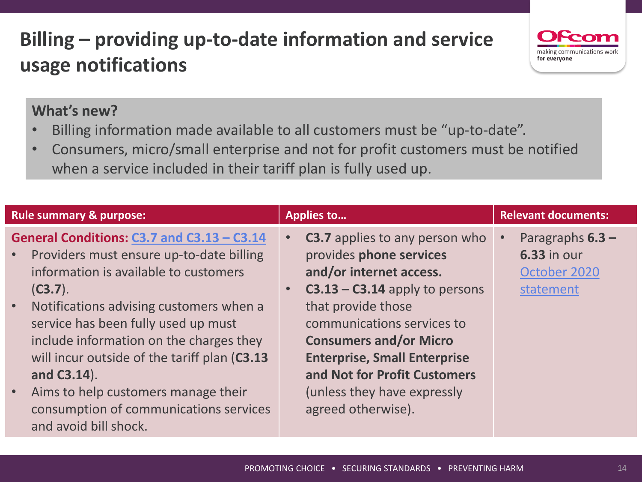# **Billing – providing up-to-date information and service usage notifications**



- Billing information made available to all customers must be "up-to-date".
- Consumers, micro/small enterprise and not for profit customers must be notified when a service included in their tariff plan is fully used up.

| <b>Rule summary &amp; purpose:</b>                                                                                                                                                                                                                                                                                                                                  | <b>Applies to</b>                                                                                                                                                                                                                                                                                                     | <b>Relevant documents:</b>                                                         |
|---------------------------------------------------------------------------------------------------------------------------------------------------------------------------------------------------------------------------------------------------------------------------------------------------------------------------------------------------------------------|-----------------------------------------------------------------------------------------------------------------------------------------------------------------------------------------------------------------------------------------------------------------------------------------------------------------------|------------------------------------------------------------------------------------|
| General Conditions: C3.7 and C3.13 - C3.14<br>Providers must ensure up-to-date billing<br>$\bullet$<br>information is available to customers<br>$(C3.7)$ .<br>Notifications advising customers when a<br>$\bullet$<br>service has been fully used up must<br>include information on the charges they<br>will incur outside of the tariff plan (C3.13<br>and C3.14). | <b>C3.7</b> applies to any person who<br>$\bullet$<br>provides phone services<br>and/or internet access.<br>$C3.13 - C3.14$ apply to persons<br>$\bullet$<br>that provide those<br>communications services to<br><b>Consumers and/or Micro</b><br><b>Enterprise, Small Enterprise</b><br>and Not for Profit Customers | Paragraphs $6.3 -$<br>$\bullet$<br><b>6.33 in our</b><br>October 2020<br>statement |
| Aims to help customers manage their<br>$\bullet$<br>consumption of communications services<br>and avoid bill shock.                                                                                                                                                                                                                                                 | (unless they have expressly<br>agreed otherwise).                                                                                                                                                                                                                                                                     |                                                                                    |

naking communications

for everyone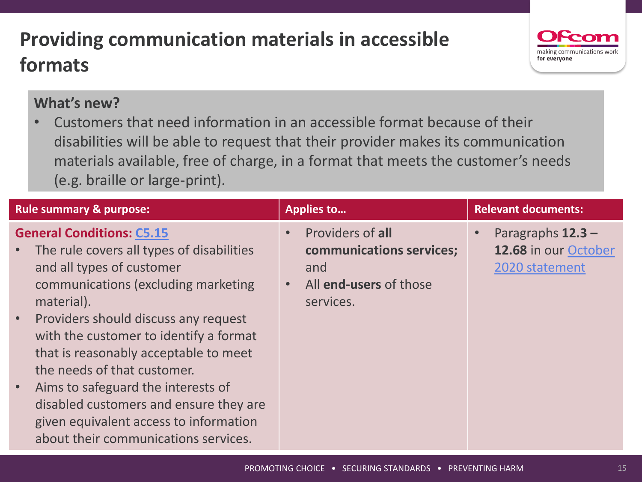# **Providing communication materials in accessible formats**



#### **What's new?**

• Customers that need information in an accessible format because of their disabilities will be able to request that their provider makes its communication materials available, free of charge, in a format that meets the customer's needs (e.g. braille or large-print).

| <b>Rule summary &amp; purpose:</b>                                                                                                                                                                                                                                                                                                                                                                                                                                                                       | <b>Applies to</b>                                                                                         | <b>Relevant documents:</b>                                    |
|----------------------------------------------------------------------------------------------------------------------------------------------------------------------------------------------------------------------------------------------------------------------------------------------------------------------------------------------------------------------------------------------------------------------------------------------------------------------------------------------------------|-----------------------------------------------------------------------------------------------------------|---------------------------------------------------------------|
| <b>General Conditions: C5.15</b><br>The rule covers all types of disabilities<br>and all types of customer<br>communications (excluding marketing<br>material).<br>Providers should discuss any request<br>$\bullet$<br>with the customer to identify a format<br>that is reasonably acceptable to meet<br>the needs of that customer.<br>Aims to safeguard the interests of<br>disabled customers and ensure they are<br>given equivalent access to information<br>about their communications services. | Providers of all<br>communications services;<br>and<br>All end-users of those<br>$\bullet$ .<br>services. | Paragraphs $12.3 -$<br>12.68 in our October<br>2020 statement |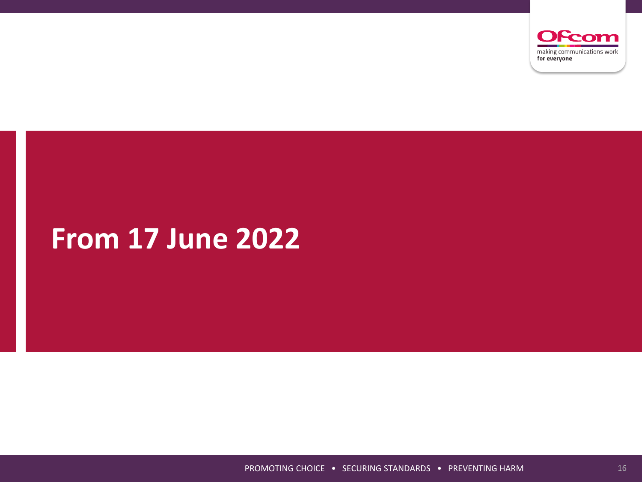

# **From 17 June 2022**

PROMOTING CHOICE • SECURING STANDARDS • PREVENTING HARM 16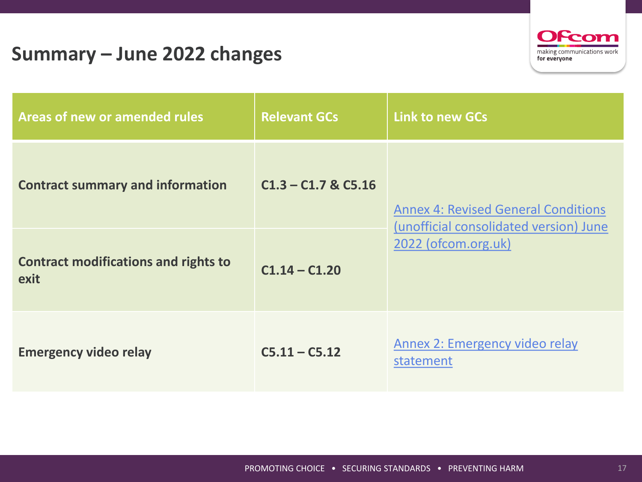### **Summary – June 2022 changes**



| Areas of new or amended rules                       | <b>Relevant GCs</b>     | <b>Link to new GCs</b>                                                               |  |
|-----------------------------------------------------|-------------------------|--------------------------------------------------------------------------------------|--|
| <b>Contract summary and information</b>             | $C1.3 - C1.7$ & $C5.16$ | <b>Annex 4: Revised General Conditions</b><br>(unofficial consolidated version) June |  |
| <b>Contract modifications and rights to</b><br>exit | $C1.14 - C1.20$         | 2022 (ofcom.org.uk)                                                                  |  |
| <b>Emergency video relay</b>                        | $C5.11 - C5.12$         | Annex 2: Emergency video relay<br>statement                                          |  |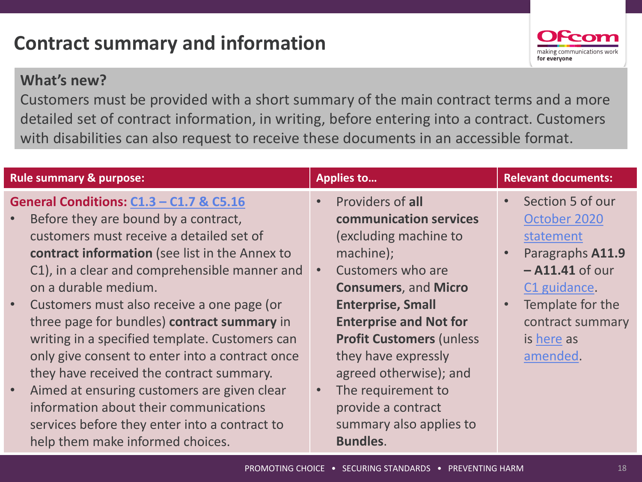## **Contract summary and information**



#### **What's new?**

Customers must be provided with a short summary of the main contract terms and a more detailed set of contract information, in writing, before entering into a contract. Customers with disabilities can also request to receive these documents in an accessible format.

| <b>Rule summary &amp; purpose:</b>                                                                                                                                                                                                                                                                                                                                                                                                                                                                                                                                                                                                                                                                           | <b>Applies to</b>                                                                                                                                                                                                                                                                                                                                                                | <b>Relevant documents:</b>                                                                                                                                                                         |
|--------------------------------------------------------------------------------------------------------------------------------------------------------------------------------------------------------------------------------------------------------------------------------------------------------------------------------------------------------------------------------------------------------------------------------------------------------------------------------------------------------------------------------------------------------------------------------------------------------------------------------------------------------------------------------------------------------------|----------------------------------------------------------------------------------------------------------------------------------------------------------------------------------------------------------------------------------------------------------------------------------------------------------------------------------------------------------------------------------|----------------------------------------------------------------------------------------------------------------------------------------------------------------------------------------------------|
| General Conditions: C1.3 - C1.7 & C5.16<br>Before they are bound by a contract,<br>customers must receive a detailed set of<br>contract information (see list in the Annex to<br>C1), in a clear and comprehensible manner and<br>on a durable medium.<br>Customers must also receive a one page (or<br>$\bullet$<br>three page for bundles) contract summary in<br>writing in a specified template. Customers can<br>only give consent to enter into a contract once<br>they have received the contract summary.<br>Aimed at ensuring customers are given clear<br>$\bullet$<br>information about their communications<br>services before they enter into a contract to<br>help them make informed choices. | Providers of all<br>communication services<br>(excluding machine to<br>machine);<br>Customers who are<br><b>Consumers, and Micro</b><br><b>Enterprise, Small</b><br><b>Enterprise and Not for</b><br><b>Profit Customers (unless)</b><br>they have expressly<br>agreed otherwise); and<br>The requirement to<br>provide a contract<br>summary also applies to<br><b>Bundles.</b> | Section 5 of our<br>$\bullet$<br>October 2020<br>statement<br>Paragraphs A11.9<br>$\bullet$<br>$-$ A11.41 of our<br>C1 guidance.<br>Template for the<br>contract summary<br>is here as<br>amended. |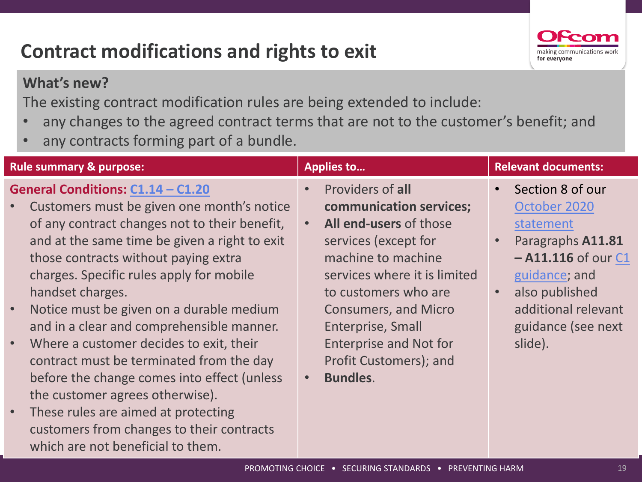# **Contract modifications and rights to exit**



#### **What's new?**

The existing contract modification rules are being extended to include:

- any changes to the agreed contract terms that are not to the customer's benefit; and
- any contracts forming part of a bundle.

which are not beneficial to them.

| <b>Rule summary &amp; purpose:</b>                                                                                                                                                                                                                                                                                                                                                                                                                                                                                                                                                                                                                                                                  | <b>Applies to</b>                                                                                                                                                                                                                                                                                                          | <b>Relevant documents:</b>                                                                                                                                                                                       |
|-----------------------------------------------------------------------------------------------------------------------------------------------------------------------------------------------------------------------------------------------------------------------------------------------------------------------------------------------------------------------------------------------------------------------------------------------------------------------------------------------------------------------------------------------------------------------------------------------------------------------------------------------------------------------------------------------------|----------------------------------------------------------------------------------------------------------------------------------------------------------------------------------------------------------------------------------------------------------------------------------------------------------------------------|------------------------------------------------------------------------------------------------------------------------------------------------------------------------------------------------------------------|
| General Conditions: C1.14 - C1.20<br>Customers must be given one month's notice<br>$\bullet$<br>of any contract changes not to their benefit,<br>and at the same time be given a right to exit<br>those contracts without paying extra<br>charges. Specific rules apply for mobile<br>handset charges.<br>Notice must be given on a durable medium<br>$\bullet$<br>and in a clear and comprehensible manner.<br>Where a customer decides to exit, their<br>$\bullet$<br>contract must be terminated from the day<br>before the change comes into effect (unless<br>the customer agrees otherwise).<br>These rules are aimed at protecting<br>$\bullet$<br>customers from changes to their contracts | Providers of all<br>$\bullet$<br>communication services;<br>All end-users of those<br>services (except for<br>machine to machine<br>services where it is limited<br>to customers who are<br><b>Consumers, and Micro</b><br>Enterprise, Small<br><b>Enterprise and Not for</b><br>Profit Customers); and<br><b>Bundles.</b> | Section 8 of our<br>$\bullet$<br>October 2020<br>statement<br>Paragraphs A11.81<br>$\bullet$<br>$-$ A11.116 of our C1<br>guidance; and<br>also published<br>additional relevant<br>guidance (see next<br>slide). |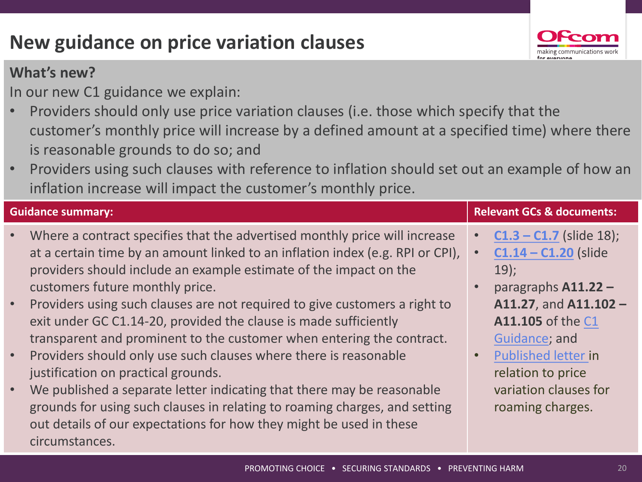# **New guidance on price variation clauses**

#### **What's new?**

In our new C1 guidance we explain:

- Providers should only use price variation clauses (i.e. those which specify that the customer's monthly price will increase by a defined amount at a specified time) where there is reasonable grounds to do so; and
- Providers using such clauses with reference to inflation should set out an example of how an inflation increase will impact the customer's monthly price.

| <b>Guidance summary:</b> |                                                                                                                                                                                                                                                                                                                                                    | <b>Relevant GCs &amp; documents:</b> |                                                                                                               |
|--------------------------|----------------------------------------------------------------------------------------------------------------------------------------------------------------------------------------------------------------------------------------------------------------------------------------------------------------------------------------------------|--------------------------------------|---------------------------------------------------------------------------------------------------------------|
|                          | Where a contract specifies that the advertised monthly price will increase<br>at a certain time by an amount linked to an inflation index (e.g. RPI or CPI),<br>providers should include an example estimate of the impact on the<br>customers future monthly price.<br>Providers using such clauses are not required to give customers a right to |                                      | $C1.3 - C1.7$ (slide 18);<br>$C1.14 - C1.20$ (slide<br>$19$ :<br>paragraphs A11.22 -<br>A11.27, and A11.102 - |
|                          | exit under GC C1.14-20, provided the clause is made sufficiently<br>transparent and prominent to the customer when entering the contract.<br>Providers should only use such clauses where there is reasonable<br>justification on practical grounds.                                                                                               |                                      | A11.105 of the C1<br>Guidance; and<br><b>Published letter in</b><br>relation to price                         |
|                          | We published a separate letter indicating that there may be reasonable<br>grounds for using such clauses in relating to roaming charges, and setting<br>out details of our expectations for how they might be used in these<br>circumstances.                                                                                                      |                                      | variation clauses for<br>roaming charges.                                                                     |